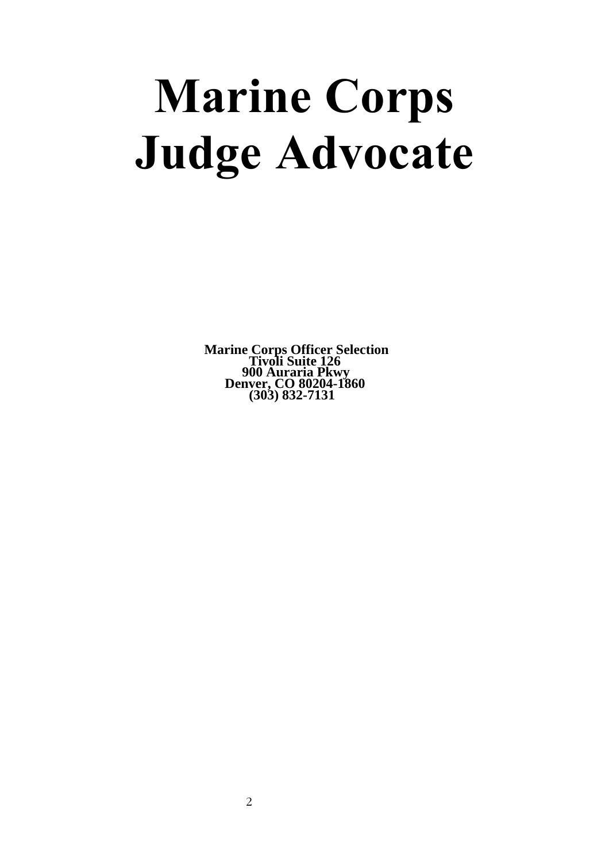# **Marine Corps Judge Advocate**

**Marine Corps Officer Selection Tivoli Suite 126 900 Auraria Pkwy Denver, CO 80204-1860 (303) 832-7131**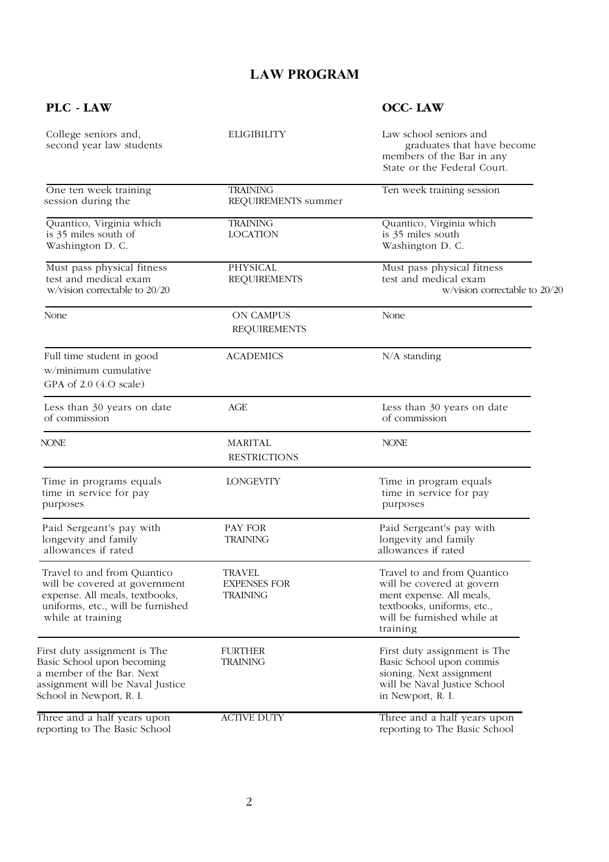## **LAW PROGRAM**

### **PLC - LAW OCC- LAW**

| College seniors and,<br>second year law students                                                                                                         | <b>ELIGIBILITY</b>                                      | Law school seniors and<br>graduates that have become<br>members of the Bar in any<br>State or the Federal Court.                                             |
|----------------------------------------------------------------------------------------------------------------------------------------------------------|---------------------------------------------------------|--------------------------------------------------------------------------------------------------------------------------------------------------------------|
| One ten week training<br>session during the                                                                                                              | <b>TRAINING</b><br>REQUIREMENTS summer                  | Ten week training session                                                                                                                                    |
| Quantico, Virginia which<br>is 35 miles south of<br>Washington D. C.                                                                                     | <b>TRAINING</b><br><b>LOCATION</b>                      | Quantico, Virginia which<br>is 35 miles south<br>Washington D. C.                                                                                            |
| Must pass physical fitness<br>test and medical exam<br>w/vision correctable to 20/20                                                                     | <b>PHYSICAL</b><br><b>REQUIREMENTS</b>                  | Must pass physical fitness<br>test and medical exam<br>w/vision correctable to 20/20                                                                         |
| None                                                                                                                                                     | ON CAMPUS<br><b>REQUIREMENTS</b>                        | None                                                                                                                                                         |
| Full time student in good<br>w/minimum cumulative<br>GPA of 2.0 (4.O scale)                                                                              | <b>ACADEMICS</b>                                        | $N/A$ standing                                                                                                                                               |
| Less than 30 years on date<br>of commission                                                                                                              | AGE                                                     | Less than 30 years on date<br>of commission                                                                                                                  |
| <b>NONE</b>                                                                                                                                              | MARITAL<br><b>RESTRICTIONS</b>                          | <b>NONE</b>                                                                                                                                                  |
| Time in programs equals<br>time in service for pay<br>purposes                                                                                           | <b>LONGEVITY</b>                                        | Time in program equals<br>time in service for pay<br>purposes                                                                                                |
| Paid Sergeant's pay with<br>longevity and family<br>allowances if rated                                                                                  | PAY FOR<br><b>TRAINING</b>                              | Paid Sergeant's pay with<br>longevity and family<br>allowances if rated                                                                                      |
| Travel to and from Quantico<br>will be covered at government<br>expense. All meals, textbooks,<br>uniforms, etc., will be furnished<br>while at training | <b>TRAVEL</b><br><b>EXPENSES FOR</b><br><b>TRAINING</b> | Travel to and from Quantico<br>will be covered at govern<br>ment expense. All meals,<br>textbooks, uniforms, etc.,<br>will be furnished while at<br>training |
| First duty assignment is The<br>Basic School upon becoming<br>a member of the Bar. Next<br>assignment will be Naval Justice<br>School in Newport, R. I.  | <b>FURTHER</b><br><b>TRAINING</b>                       | First duty assignment is The<br>Basic School upon commis<br>sioning. Next assignment<br>will be Naval Justice School<br>in Newport, R. I.                    |
| Three and a half years upon<br>reporting to The Basic School                                                                                             | <b>ACTIVE DUTY</b>                                      | Three and a half years upon<br>reporting to The Basic School                                                                                                 |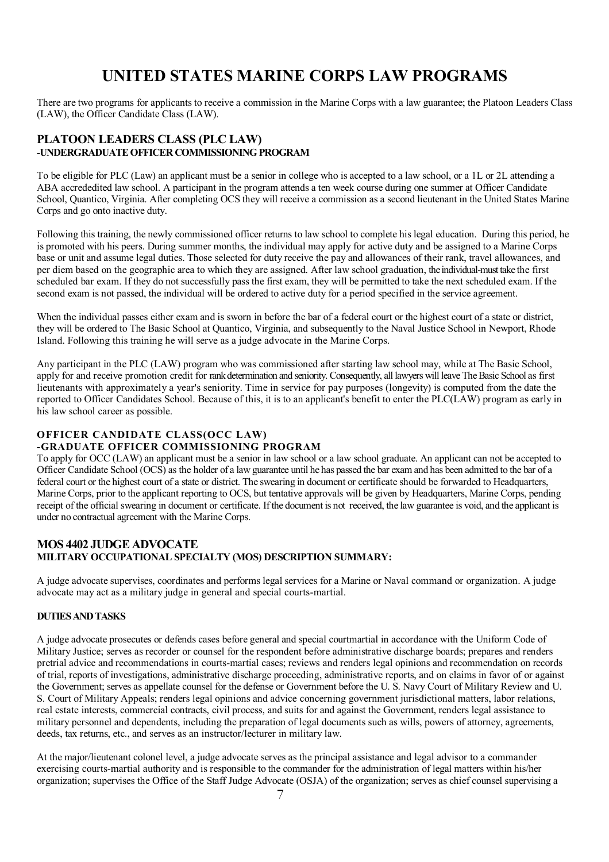# **UNITED STATES MARINE CORPS LAW PROGRAMS**

There are two programs for applicants to receive a commission in the Marine Corps with a law guarantee; the Platoon Leaders Class (LAW), the Officer Candidate Class (LAW).

#### **PLATOON LEADERS CLASS (PLC LAW) -UNDERGRADUATE OFFICER COMMISSIONING PROGRAM**

To be eligible for PLC (Law) an applicant must be a senior in college who is accepted to a law school, or a 1L or 2L attending a ABA accrededited law school. A participant in the program attends a ten week course during one summer at Officer Candidate School, Quantico, Virginia. After completing OCS they will receive a commission as a second lieutenant in the United States Marine Corps and go onto inactive duty.

Following this training, the newly commissioned officer returns to law school to complete his legal education. During this period, he is promoted with his peers. During summer months, the individual may apply for active duty and be assigned to a Marine Corps base or unit and assume legal duties. Those selected for duty receive the pay and allowances of their rank, travel allowances, and per diem based on the geographic area to which they are assigned. After law school graduation, the individual-must take the first scheduled bar exam. If they do not successfully pass the first exam, they will be permitted to take the next scheduled exam. If the second exam is not passed, the individual will be ordered to active duty for a period specified in the service agreement.

When the individual passes either exam and is sworn in before the bar of a federal court or the highest court of a state or district. they will be ordered to The Basic School at Quantico, Virginia, and subsequently to the Naval Justice School in Newport, Rhode Island. Following this training he will serve as a judge advocate in the Marine Corps.

Any participant in the PLC (LAW) program who was commissioned after starting law school may, while at The Basic School, apply for and receive promotion credit for rank determination and seniority. Consequently, all lawyers will leave The Basic School as first lieutenants with approximately a year's seniority. Time in service for pay purposes (longevity) is computed from the date the reported to Officer Candidates School. Because of this, it is to an applicant's benefit to enter the PLC(LAW) program as early in his law school career as possible.

#### **OFFICER CANDIDATE CLASS(OCC LAW)**

#### **-GRADUATE OFFICER COMMISSIONING PROGRAM**

To apply for OCC (LAW) an applicant must be a senior in law school or a law school graduate. An applicant can not be accepted to Officer Candidate School (OCS) as the holder of a law guarantee until he has passed the bar exam and has been admitted to the bar of a federal court or the highest court of a state or district. The swearing in document or certificate should be forwarded to Headquarters, Marine Corps, prior to the applicant reporting to OCS, but tentative approvals will be given by Headquarters, Marine Corps, pending receipt of the official swearing in document or certificate. If the document is not received, the law guarantee is void, and the applicant is under no contractual agreement with the Marine Corps.

#### **MOS 4402 JUDGE ADVOCATE MILITARY OCCUPATIONAL SPECIALTY (MOS) DESCRIPTION SUMMARY:**

A judge advocate supervises, coordinates and performs legal services for a Marine or Naval command or organization. A judge advocate may act as a military judge in general and special courts-martial.

#### **DUTIES AND TASKS**

A judge advocate prosecutes or defends cases before general and special courtmartial in accordance with the Uniform Code of Military Justice; serves as recorder or counsel for the respondent before administrative discharge boards; prepares and renders pretrial advice and recommendations in courts-martial cases; reviews and renders legal opinions and recommendation on records of trial, reports of investigations, administrative discharge proceeding, administrative reports, and on claims in favor of or against the Government; serves as appellate counsel for the defense or Government before the U. S. Navy Court of Military Review and U. S. Court of Military Appeals; renders legal opinions and advice concerning government jurisdictional matters, labor relations, real estate interests, commercial contracts, civil process, and suits for and against the Government, renders legal assistance to military personnel and dependents, including the preparation of legal documents such as wills, powers of attorney, agreements, deeds, tax returns, etc., and serves as an instructor/lecturer in military law.

At the major/lieutenant colonel level, a judge advocate serves as the principal assistance and legal advisor to a commander exercising courts-martial authority and is responsible to the commander for the administration of legal matters within his/her organization; supervises the Office of the Staff Judge Advocate (OSJA) of the organization; serves as chief counsel supervising a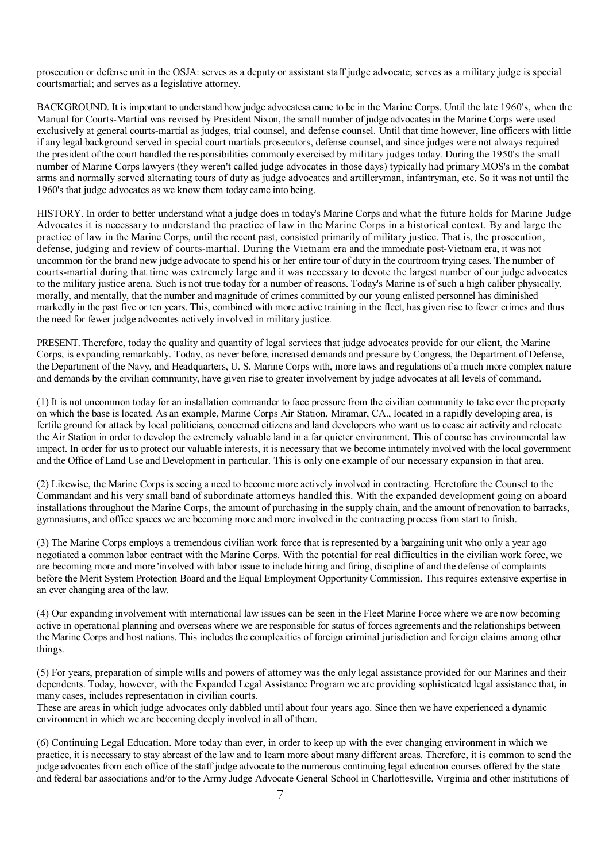prosecution or defense unit in the OSJA: serves as a deputy or assistant staff judge advocate; serves as a military judge is special courtsmartial; and serves as a legislative attorney.

BACKGROUND. It is important to understand how judge advocatesa came to be in the Marine Corps. Until the late 1960's, when the Manual for Courts-Martial was revised by President Nixon, the small number of judge advocates in the Marine Corps were used exclusively at general courts-martial as judges, trial counsel, and defense counsel. Until that time however, line officers with little if any legal background served in special court martials prosecutors, defense counsel, and since judges were not always required the president of the court handled the responsibilities commonly exercised by military judges today. During the 1950's the small number of Marine Corps lawyers (they weren't called judge advocates in those days) typically had primary MOS's in the combat arms and normally served alternating tours of duty as judge advocates and artilleryman, infantryman, etc. So it was not until the 1960's that judge advocates as we know them today came into being.

HISTORY. In order to better understand what a judge does in today's Marine Corps and what the future holds for Marine Judge Advocates it is necessary to understand the practice of law in the Marine Corps in a historical context. By and large the practice of law in the Marine Corps, until the recent past, consisted primarily of military justice. That is, the prosecution, defense, judging and review of courts-martial. During the Vietnam era and the immediate post-Vietnam era, it was not uncommon for the brand new judge advocate to spend his or her entire tour of duty in the courtroom trying cases. The number of courts-martial during that time was extremely large and it was necessary to devote the largest number of our judge advocates to the military justice arena. Such is not true today for a number of reasons. Today's Marine is of such a high caliber physically, morally, and mentally, that the number and magnitude of crimes committed by our young enlisted personnel has diminished markedly in the past five or ten years. This, combined with more active training in the fleet, has given rise to fewer crimes and thus the need for fewer judge advocates actively involved in military justice.

PRESENT. Therefore, today the quality and quantity of legal services that judge advocates provide for our client, the Marine Corps, is expanding remarkably. Today, as never before, increased demands and pressure by Congress, the Department of Defense, the Department of the Navy, and Headquarters, U. S. Marine Corps with, more laws and regulations of a much more complex nature and demands by the civilian community, have given rise to greater involvement by judge advocates at all levels of command.

(1) It is not uncommon today for an installation commander to face pressure from the civilian community to take over the property on which the base is located. As an example, Marine Corps Air Station, Miramar, CA., located in a rapidly developing area, is fertile ground for attack by local politicians, concerned citizens and land developers who want us to cease air activity and relocate the Air Station in order to develop the extremely valuable land in a far quieter environment. This of course has environmental law impact. In order for us to protect our valuable interests, it is necessary that we become intimately involved with the local government and the Office of Land Use and Development in particular. This is only one example of our necessary expansion in that area.

(2) Likewise, the Marine Corps is seeing a need to become more actively involved in contracting. Heretofore the Counsel to the Commandant and his very small band of subordinate attorneys handled this. With the expanded development going on aboard installations throughout the Marine Corps, the amount of purchasing in the supply chain, and the amount of renovation to barracks, gymnasiums, and office spaces we are becoming more and more involved in the contracting process from start to finish.

(3) The Marine Corps employs a tremendous civilian work force that is represented by a bargaining unit who only a year ago negotiated a common labor contract with the Marine Corps. With the potential for real difficulties in the civilian work force, we are becoming more and more 'involved with labor issue to include hiring and firing, discipline of and the defense of complaints before the Merit System Protection Board and the Equal Employment Opportunity Commission. This requires extensive expertise in an ever changing area of the law.

(4) Our expanding involvement with international law issues can be seen in the Fleet Marine Force where we are now becoming active in operational planning and overseas where we are responsible for status of forces agreements and the relationships between the Marine Corps and host nations. This includes the complexities of foreign criminal jurisdiction and foreign claims among other things.

(5) For years, preparation of simple wills and powers of attorney was the only legal assistance provided for our Marines and their dependents. Today, however, with the Expanded Legal Assistance Program we are providing sophisticated legal assistance that, in many cases, includes representation in civilian courts.

These are areas in which judge advocates only dabbled until about four years ago. Since then we have experienced a dynamic environment in which we are becoming deeply involved in all of them.

(6) Continuing Legal Education. More today than ever, in order to keep up with the ever changing environment in which we practice, it is necessary to stay abreast of the law and to learn more about many different areas. Therefore, it is common to send the judge advocates from each office of the staff judge advocate to the numerous continuing legal education courses offered by the state and federal bar associations and/or to the Army Judge Advocate General School in Charlottesville, Virginia and other institutions of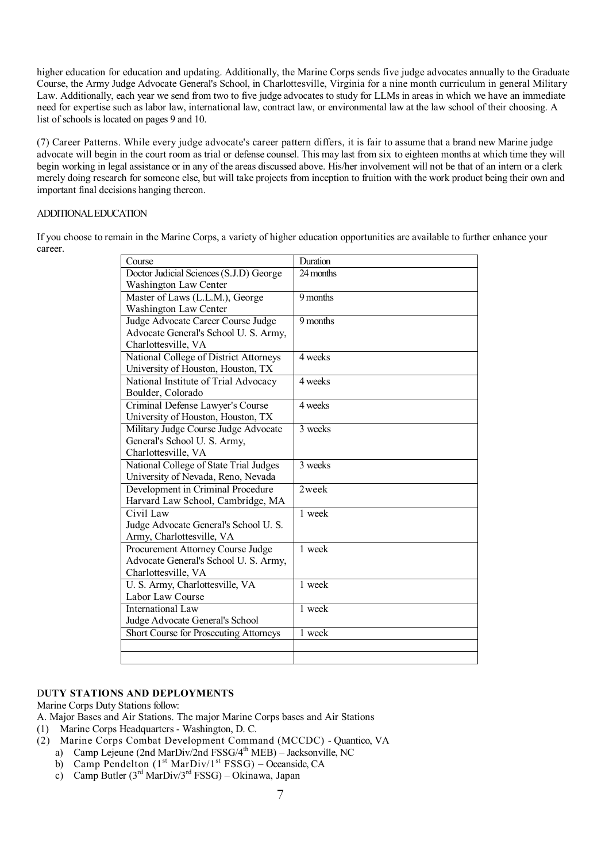higher education for education and updating. Additionally, the Marine Corps sends five judge advocates annually to the Graduate Course, the Army Judge Advocate General's School, in Charlottesville, Virginia for a nine month curriculum in general Military Law. Additionally, each year we send from two to five judge advocates to study for LLMs in areas in which we have an immediate need for expertise such as labor law, international law, contract law, or environmental law at the law school of their choosing. A list of schools is located on pages 9 and 10.

(7) Career Patterns. While every judge advocate's career pattern differs, it is fair to assume that a brand new Marine judge advocate will begin in the court room as trial or defense counsel. This may last from six to eighteen months at which time they will begin working in legal assistance or in any of the areas discussed above. His/her involvement will not be that of an intern or a clerk merely doing research for someone else, but will take projects from inception to fruition with the work product being their own and important final decisions hanging thereon.

#### ADDITIONAL EDUCATION

If you choose to remain in the Marine Corps, a variety of higher education opportunities are available to further enhance your career.

| Course                                        | Duration  |
|-----------------------------------------------|-----------|
| Doctor Judicial Sciences (S.J.D) George       | 24 months |
| Washington Law Center                         |           |
| Master of Laws (L.L.M.), George               | 9 months  |
| Washington Law Center                         |           |
| Judge Advocate Career Course Judge            | 9 months  |
| Advocate General's School U. S. Army,         |           |
| Charlottesville, VA                           |           |
| National College of District Attorneys        | 4 weeks   |
| University of Houston, Houston, TX            |           |
| National Institute of Trial Advocacy          | 4 weeks   |
| Boulder, Colorado                             |           |
| Criminal Defense Lawyer's Course              | 4 weeks   |
| University of Houston, Houston, TX            |           |
| Military Judge Course Judge Advocate          | 3 weeks   |
| General's School U. S. Army,                  |           |
| Charlottesville, VA                           |           |
| National College of State Trial Judges        | 3 weeks   |
| University of Nevada, Reno, Nevada            |           |
| Development in Criminal Procedure             | 2week     |
| Harvard Law School, Cambridge, MA             |           |
| Civil Law                                     | 1 week    |
| Judge Advocate General's School U.S.          |           |
| Army, Charlottesville, VA                     |           |
| Procurement Attorney Course Judge             | 1 week    |
| Advocate General's School U. S. Army,         |           |
| Charlottesville, VA                           |           |
| U. S. Army, Charlottesville, VA               | 1 week    |
| Labor Law Course                              |           |
| International Law                             | 1 week    |
| Judge Advocate General's School               |           |
| <b>Short Course for Prosecuting Attorneys</b> | 1 week    |
|                                               |           |
|                                               |           |

#### D**UTY STATIONS AND DEPLOYMENTS**

Marine Corps Duty Stations follow:

- A. Major Bases and Air Stations. The major Marine Corps bases and Air Stations
- (1) Marine Corps Headquarters Washington, D. C.
- (2) Marine Corps Combat Development Command (MCCDC) Quantico, VA
	- a) Camp Lejeune (2nd MarDiv/2nd FSSG/4<sup>th</sup> MEB) Jacksonville, NC
	- b) Camp Pendelton  $(1<sup>st</sup> MarDiv/1<sup>st</sup> FSSG) Oceanside, CA$
	- c) Camp Butler  $(3<sup>rd</sup> MarDiv/3<sup>rd</sup> FSSG) Okinawa, Japan$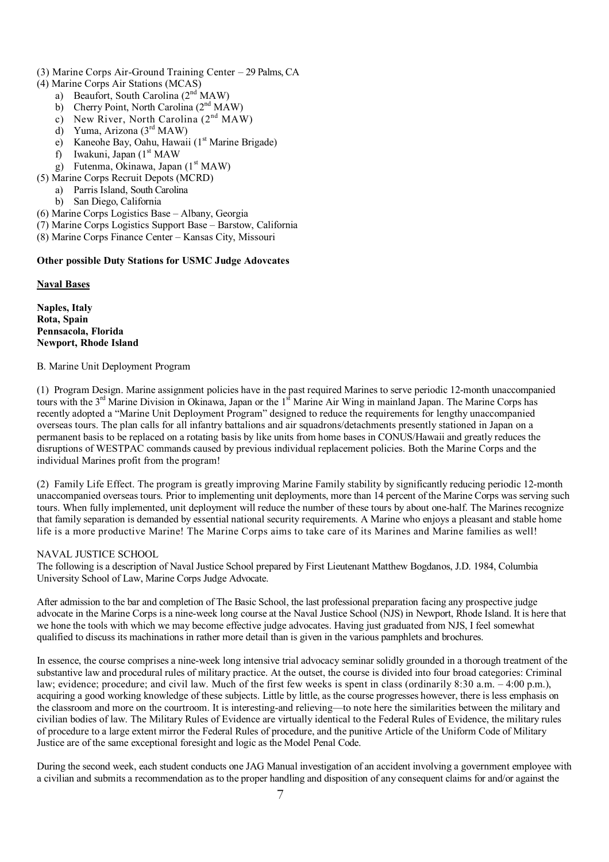- (3) Marine Corps Air-Ground Training Center 29 Palms, CA
- (4) Marine Corps Air Stations (MCAS)
	- a) Beaufort, South Carolina (2<sup>nd</sup> MAW)
	- b) Cherry Point, North Carolina (2<sup>nd</sup> MAW)
	- c) New River, North Carolina  $(2<sup>nd</sup> MAW)$
	- d) Yuma, Arizona  $(3<sup>rd</sup> MAW)$
	- e) Kaneohe Bay, Oahu, Hawaii (1<sup>st</sup> Marine Brigade)
	- f) Iwakuni, Japan  $(1<sup>st</sup> MAW)$
	- g) Futenma, Okinawa, Japan  $(1<sup>st</sup> MAW)$
- (5) Marine Corps Recruit Depots (MCRD)
	- a) Parris Island, South Carolina
	- b) San Diego, California
- (6) Marine Corps Logistics Base Albany, Georgia
- (7) Marine Corps Logistics Support Base Barstow, California
- (8) Marine Corps Finance Center Kansas City, Missouri

#### **Other possible Duty Stations for USMC Judge Adovcates**

**Naval Bases**

**Naples, Italy Rota, Spain Pennsacola, Florida Newport, Rhode Island** 

B. Marine Unit Deployment Program

(1) Program Design. Marine assignment policies have in the past required Marines to serve periodic 12-month unaccompanied tours with the 3<sup>rd</sup> Marine Division in Okinawa, Japan or the 1<sup>st</sup> Marine Air Wing in mainland Japan. The Marine Corps has recently adopted a "Marine Unit Deployment Program" designed to reduce the requirements for lengthy unaccompanied overseas tours. The plan calls for all infantry battalions and air squadrons/detachments presently stationed in Japan on a permanent basis to be replaced on a rotating basis by like units from home bases in CONUS/Hawaii and greatly reduces the disruptions of WESTPAC commands caused by previous individual replacement policies. Both the Marine Corps and the individual Marines profit from the program!

(2) Family Life Effect. The program is greatly improving Marine Family stability by significantly reducing periodic 12-month unaccompanied overseas tours. Prior to implementing unit deployments, more than 14 percent of the Marine Corps was serving such tours. When fully implemented, unit deployment will reduce the number of these tours by about one-half. The Marines recognize that family separation is demanded by essential national security requirements. A Marine who enjoys a pleasant and stable home life is a more productive Marine! The Marine Corps aims to take care of its Marines and Marine families as well!

#### NAVAL JUSTICE SCHOOL

The following is a description of Naval Justice School prepared by First Lieutenant Matthew Bogdanos, J.D. 1984, Columbia University School of Law, Marine Corps Judge Advocate.

After admission to the bar and completion of The Basic School, the last professional preparation facing any prospective judge advocate in the Marine Corps is a nine-week long course at the Naval Justice School (NJS) in Newport, Rhode Island. It is here that we hone the tools with which we may become effective judge advocates. Having just graduated from NJS, I feel somewhat qualified to discuss its machinations in rather more detail than is given in the various pamphlets and brochures.

In essence, the course comprises a nine-week long intensive trial advocacy seminar solidly grounded in a thorough treatment of the substantive law and procedural rules of military practice. At the outset, the course is divided into four broad categories: Criminal law; evidence; procedure; and civil law. Much of the first few weeks is spent in class (ordinarily 8:30 a.m. – 4:00 p.m.), acquiring a good working knowledge of these subjects. Little by little, as the course progresses however, there is less emphasis on the classroom and more on the courtroom. It is interesting-and relieving—to note here the similarities between the military and civilian bodies of law. The Military Rules of Evidence are virtually identical to the Federal Rules of Evidence, the military rules of procedure to a large extent mirror the Federal Rules of procedure, and the punitive Article of the Uniform Code of Military Justice are of the same exceptional foresight and logic as the Model Penal Code.

During the second week, each student conducts one JAG Manual investigation of an accident involving a government employee with a civilian and submits a recommendation as to the proper handling and disposition of any consequent claims for and/or against the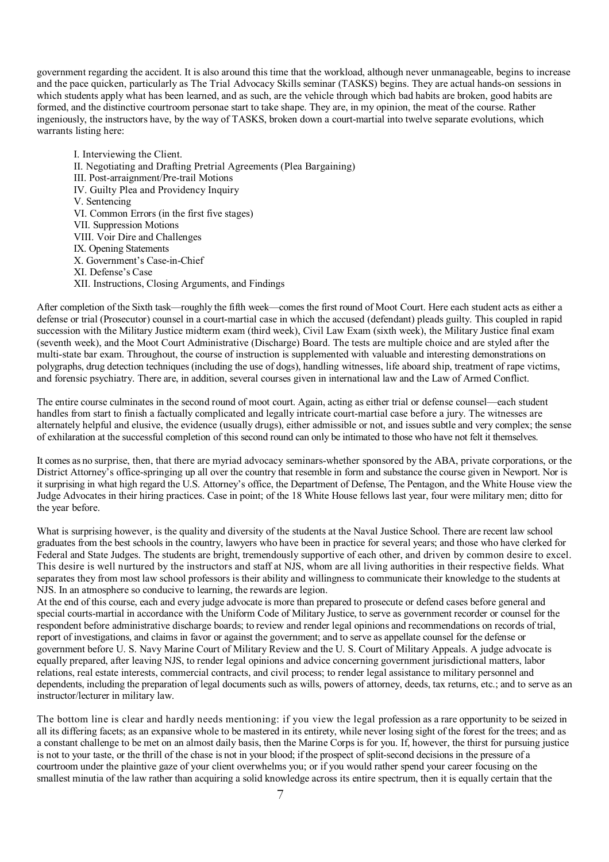government regarding the accident. It is also around this time that the workload, although never unmanageable, begins to increase and the pace quicken, particularly as The Trial Advocacy Skills seminar (TASKS) begins. They are actual hands-on sessions in which students apply what has been learned, and as such, are the vehicle through which bad habits are broken, good habits are formed, and the distinctive courtroom personae start to take shape. They are, in my opinion, the meat of the course. Rather ingeniously, the instructors have, by the way of TASKS, broken down a court-martial into twelve separate evolutions, which warrants listing here:

I. Interviewing the Client. II. Negotiating and Drafting Pretrial Agreements (Plea Bargaining) III. Post-arraignment/Pre-trail Motions IV. Guilty Plea and Providency Inquiry V. Sentencing VI. Common Errors (in the first five stages) VII. Suppression Motions VIII. Voir Dire and Challenges IX. Opening Statements X. Government's Case-in-Chief XI. Defense's Case XII. Instructions, Closing Arguments, and Findings

After completion of the Sixth task—roughly the fifth week—comes the first round of Moot Court. Here each student acts as either a defense or trial (Prosecutor) counsel in a court-martial case in which the accused (defendant) pleads guilty. This coupled in rapid succession with the Military Justice midterm exam (third week), Civil Law Exam (sixth week), the Military Justice final exam (seventh week), and the Moot Court Administrative (Discharge) Board. The tests are multiple choice and are styled after the multi-state bar exam. Throughout, the course of instruction is supplemented with valuable and interesting demonstrations on polygraphs, drug detection techniques (including the use of dogs), handling witnesses, life aboard ship, treatment of rape victims, and forensic psychiatry. There are, in addition, several courses given in international law and the Law of Armed Conflict.

The entire course culminates in the second round of moot court. Again, acting as either trial or defense counsel—each student handles from start to finish a factually complicated and legally intricate court-martial case before a jury. The witnesses are alternately helpful and elusive, the evidence (usually drugs), either admissible or not, and issues subtle and very complex; the sense of exhilaration at the successful completion of this second round can only be intimated to those who have not felt it themselves.

It comes as no surprise, then, that there are myriad advocacy seminars-whether sponsored by the ABA, private corporations, or the District Attorney's office-springing up all over the country that resemble in form and substance the course given in Newport. Nor is it surprising in what high regard the U.S. Attorney's office, the Department of Defense, The Pentagon, and the White House view the Judge Advocates in their hiring practices. Case in point; of the 18 White House fellows last year, four were military men; ditto for the year before.

What is surprising however, is the quality and diversity of the students at the Naval Justice School. There are recent law school graduates from the best schools in the country, lawyers who have been in practice for several years; and those who have clerked for Federal and State Judges. The students are bright, tremendously supportive of each other, and driven by common desire to excel. This desire is well nurtured by the instructors and staff at NJS, whom are all living authorities in their respective fields. What separates they from most law school professors is their ability and willingness to communicate their knowledge to the students at NJS. In an atmosphere so conducive to learning, the rewards are legion.

At the end of this course, each and every judge advocate is more than prepared to prosecute or defend cases before general and special courts-martial in accordance with the Uniform Code of Military Justice, to serve as government recorder or counsel for the respondent before administrative discharge boards; to review and render legal opinions and recommendations on records of trial, report of investigations, and claims in favor or against the government; and to serve as appellate counsel for the defense or government before U. S. Navy Marine Court of Military Review and the U. S. Court of Military Appeals. A judge advocate is equally prepared, after leaving NJS, to render legal opinions and advice concerning government jurisdictional matters, labor relations, real estate interests, commercial contracts, and civil process; to render legal assistance to military personnel and dependents, including the preparation of legal documents such as wills, powers of attorney, deeds, tax returns, etc.; and to serve as an instructor/lecturer in military law.

The bottom line is clear and hardly needs mentioning: if you view the legal profession as a rare opportunity to be seized in all its differing facets; as an expansive whole to be mastered in its entirety, while never losing sight of the forest for the trees; and as a constant challenge to be met on an almost daily basis, then the Marine Corps is for you. If, however, the thirst for pursuing justice is not to your taste, or the thrill of the chase is not in your blood; if the prospect of split-second decisions in the pressure of a courtroom under the plaintive gaze of your client overwhelms you; or if you would rather spend your career focusing on the smallest minutia of the law rather than acquiring a solid knowledge across its entire spectrum, then it is equally certain that the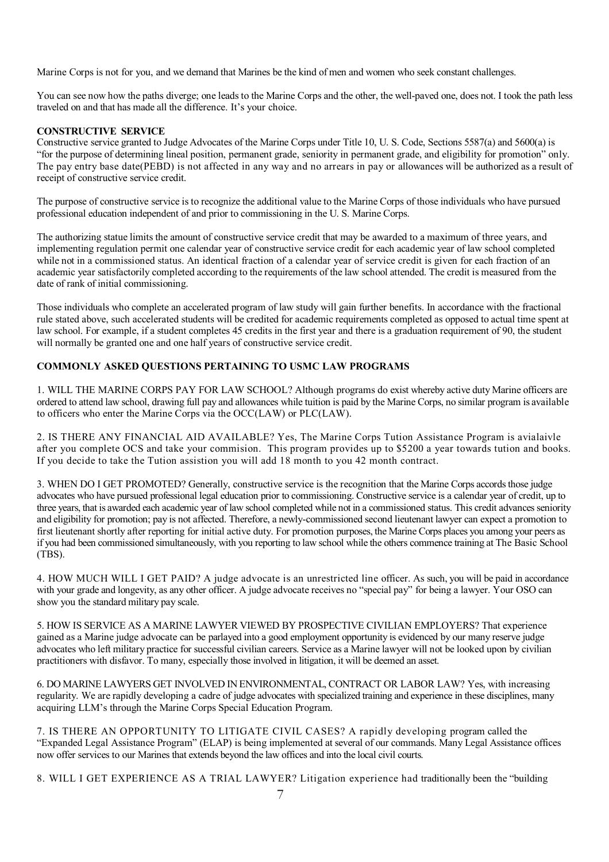Marine Corps is not for you, and we demand that Marines be the kind of men and women who seek constant challenges.

You can see now how the paths diverge; one leads to the Marine Corps and the other, the well-paved one, does not. I took the path less traveled on and that has made all the difference. It's your choice.

#### **CONSTRUCTIVE SERVICE**

Constructive service granted to Judge Advocates of the Marine Corps under Title 10, U. S. Code, Sections 5587(a) and 5600(a) is "for the purpose of determining lineal position, permanent grade, seniority in permanent grade, and eligibility for promotion" only. The pay entry base date(PEBD) is not affected in any way and no arrears in pay or allowances will be authorized as a result of receipt of constructive service credit.

The purpose of constructive service is to recognize the additional value to the Marine Corps of those individuals who have pursued professional education independent of and prior to commissioning in the U. S. Marine Corps.

The authorizing statue limits the amount of constructive service credit that may be awarded to a maximum of three years, and implementing regulation permit one calendar year of constructive service credit for each academic year of law school completed while not in a commissioned status. An identical fraction of a calendar year of service credit is given for each fraction of an academic year satisfactorily completed according to the requirements of the law school attended. The credit is measured from the date of rank of initial commissioning.

Those individuals who complete an accelerated program of law study will gain further benefits. In accordance with the fractional rule stated above, such accelerated students will be credited for academic requirements completed as opposed to actual time spent at law school. For example, if a student completes 45 credits in the first year and there is a graduation requirement of 90, the student will normally be granted one and one half years of constructive service credit.

#### **COMMONLY ASKED QUESTIONS PERTAINING TO USMC LAW PROGRAMS**

1. WILL THE MARINE CORPS PAY FOR LAW SCHOOL? Although programs do exist whereby active duty Marine officers are ordered to attend law school, drawing full pay and allowances while tuition is paid by the Marine Corps, no similar program is available to officers who enter the Marine Corps via the OCC(LAW) or PLC(LAW).

2. IS THERE ANY FINANCIAL AID AVAILABLE? Yes, The Marine Corps Tution Assistance Program is avialaivle after you complete OCS and take your commision. This program provides up to \$5200 a year towards tution and books. If you decide to take the Tution assistion you will add 18 month to you 42 month contract.

3. WHEN DO I GET PROMOTED? Generally, constructive service is the recognition that the Marine Corps accords those judge advocates who have pursued professional legal education prior to commissioning. Constructive service is a calendar year of credit, up to three years, that is awarded each academic year of law school completed while not in a commissioned status. This credit advances seniority and eligibility for promotion; pay is not affected. Therefore, a newly-commissioned second lieutenant lawyer can expect a promotion to first lieutenant shortly after reporting for initial active duty. For promotion purposes, the Marine Corps places you among your peers as if you had been commissioned simultaneously, with you reporting to law school while the others commence training at The Basic School (TBS).

4. HOW MUCH WILL I GET PAID? A judge advocate is an unrestricted line officer. As such, you will be paid in accordance with your grade and longevity, as any other officer. A judge advocate receives no "special pay" for being a lawyer. Your OSO can show you the standard military pay scale.

5. HOW IS SERVICE AS A MARINE LAWYER VIEWED BY PROSPECTIVE CIVILIAN EMPLOYERS? That experience gained as a Marine judge advocate can be parlayed into a good employment opportunity is evidenced by our many reserve judge advocates who left military practice for successful civilian careers. Service as a Marine lawyer will not be looked upon by civilian practitioners with disfavor. To many, especially those involved in litigation, it will be deemed an asset.

6. DO MARINE LAWYERS GET INVOLVED IN ENVIRONMENTAL, CONTRACT OR LABOR LAW? Yes, with increasing regularity. We are rapidly developing a cadre of judge advocates with specialized training and experience in these disciplines, many acquiring LLM's through the Marine Corps Special Education Program.

7. IS THERE AN OPPORTUNITY TO LITIGATE CIVIL CASES? A rapidly developing program called the "Expanded Legal Assistance Program" (ELAP) is being implemented at several of our commands. Many Legal Assistance offices now offer services to our Marines that extends beyond the law offices and into the local civil courts.

8. WILL I GET EXPERIENCE AS A TRIAL LAWYER? Litigation experience had traditionally been the "building